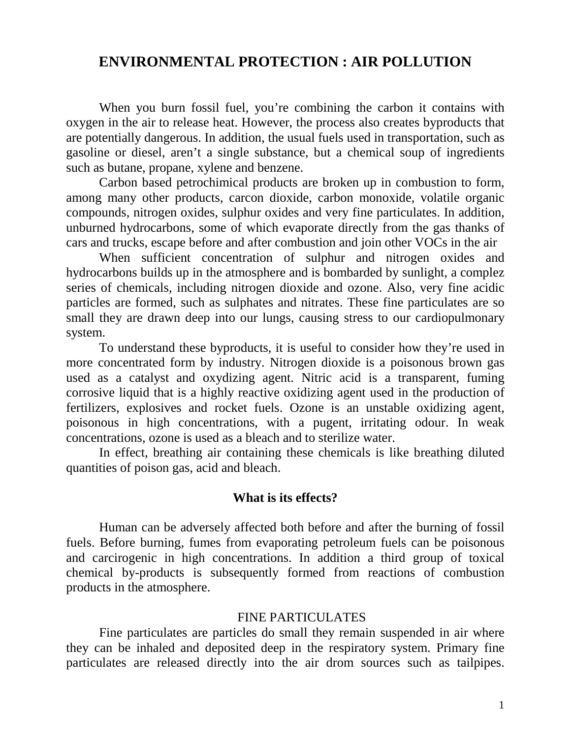## **ENVIRONMENTAL PROTECTION : AIR POLLUTION**

 When you burn fossil fuel, you're combining the carbon it contains with oxygen in the air to release heat. However, the process also creates byproducts that are potentially dangerous. In addition, the usual fuels used in transportation, such as gasoline or diesel, aren't a single substance, but a chemical soup of ingredients such as butane, propane, xylene and benzene.

 Carbon based petrochimical products are broken up in combustion to form, among many other products, carcon dioxide, carbon monoxide, volatile organic compounds, nitrogen oxides, sulphur oxides and very fine particulates. In addition, unburned hydrocarbons, some of which evaporate directly from the gas thanks of cars and trucks, escape before and after combustion and join other VOCs in the air

 When sufficient concentration of sulphur and nitrogen oxides and hydrocarbons builds up in the atmosphere and is bombarded by sunlight, a complez series of chemicals, including nitrogen dioxide and ozone. Also, very fine acidic particles are formed, such as sulphates and nitrates. These fine particulates are so small they are drawn deep into our lungs, causing stress to our cardiopulmonary system.

 To understand these byproducts, it is useful to consider how they're used in more concentrated form by industry. Nitrogen dioxide is a poisonous brown gas used as a catalyst and oxydizing agent. Nitric acid is a transparent, fuming corrosive liquid that is a highly reactive oxidizing agent used in the production of fertilizers, explosives and rocket fuels. Ozone is an unstable oxidizing agent, poisonous in high concentrations, with a pugent, irritating odour. In weak concentrations, ozone is used as a bleach and to sterilize water.

 In effect, breathing air containing these chemicals is like breathing diluted quantities of poison gas, acid and bleach.

## **What is its effects?**

 Human can be adversely affected both before and after the burning of fossil fuels. Before burning, fumes from evaporating petroleum fuels can be poisonous and carcirogenic in high concentrations. In addition a third group of toxical chemical by-products is subsequently formed from reactions of combustion products in the atmosphere.

## FINE PARTICULATES

Fine particulates are particles do small they remain suspended in air where they can be inhaled and deposited deep in the respiratory system. Primary fine particulates are released directly into the air drom sources such as tailpipes.